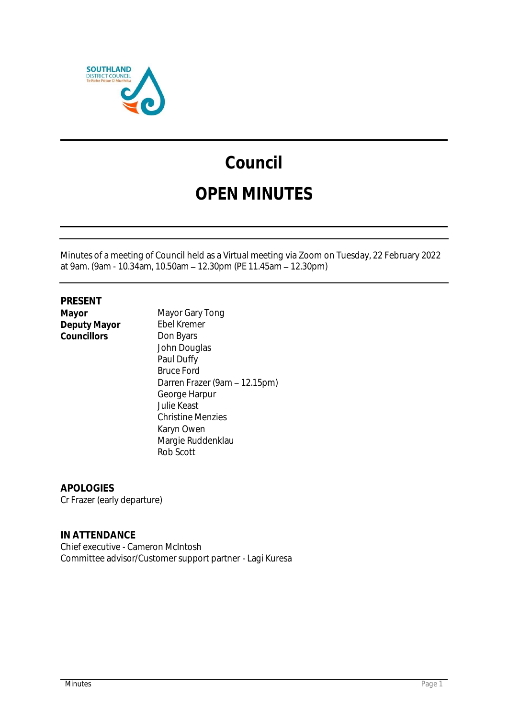

# **Council**

# **OPEN MINUTES**

Minutes of a meeting of Council held as a Virtual meeting via Zoom on Tuesday, 22 February 2022 at 9am. (9am - 10.34am, 10.50am - 12.30pm (PE 11.45am - 12.30pm)

**PRESENT Deputy Mayor** Ebel Kremer<br>Councillors **Don Byars** Councillors

**Mayor Gary Tong**<br>**Ebel Kremer** John Douglas Paul Duffy Bruce Ford Darren Frazer (9am - 12.15pm) George Harpur Julie Keast Christine Menzies Karyn Owen Margie Ruddenklau Rob Scott

**APOLOGIES** Cr Frazer (early departure)

**IN ATTENDANCE** Chief executive - Cameron McIntosh Committee advisor/Customer support partner - Lagi Kuresa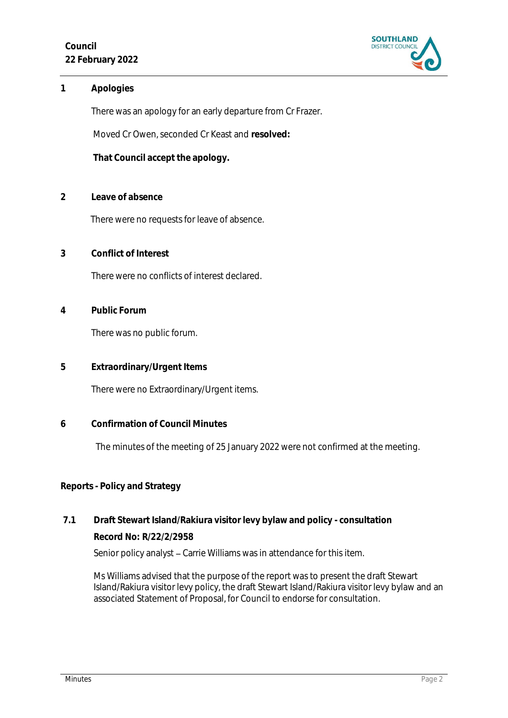**Council 22 February 2022**



**1 Apologies** 

There was an apology for an early departure from Cr Frazer.

Moved Cr Owen, seconded Cr Keast and **resolved:**

**That Council accept the apology.**

**2 Leave of absence** 

There were no requests for leave of absence.

**3 Conflict of Interest**

There were no conflicts of interest declared.

**4 Public Forum**

There was no public forum.

**5 Extraordinary/Urgent Items**

There were no Extraordinary/Urgent items.

**6 Confirmation of Council Minutes**

The minutes of the meeting of 25 January 2022 were not confirmed at the meeting.

#### **Reports - Policy and Strategy**

## **7.1 Draft Stewart Island/Rakiura visitor levy bylaw and policy - consultation Record No: R/22/2/2958** Senior policy analyst - Carrie Williams was in attendance for this item.

Ms Williams advised that the purpose of the report was to present the draft Stewart Island/Rakiura visitor levy policy, the draft Stewart Island/Rakiura visitor levy bylaw and an associated Statement of Proposal, for Council to endorse for consultation.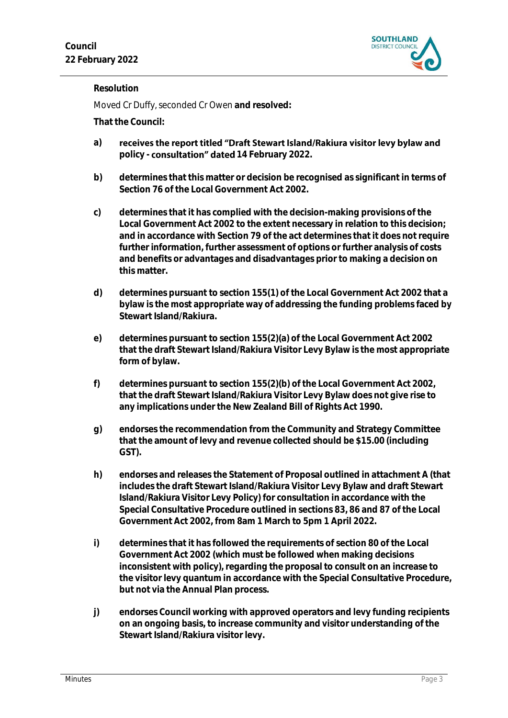

#### **Resolution**

Moved Cr Duffy, seconded Cr Owen **and resolved:**

- receives the report titled "Draft Stewart Island/Rakiura visitor levy bylaw and **a)** policy - **consultation" dated** 14 February 2022.
- **b) determines that this matter or decision be recognised as significant in terms of Section 76 of the Local Government Act 2002.**
- **c) determines that it has complied with the decision-making provisions of the Local Government Act 2002 to the extent necessary in relation to this decision; and in accordance with Section 79 of the act determines that it does not require further information, further assessment of options or further analysis of costs and benefits or advantages and disadvantages prior to making a decision on this matter.**
- **d) determines pursuant to section 155(1) of the Local Government Act 2002 that a bylaw is the most appropriate way of addressing the funding problems faced by Stewart Island/Rakiura.**
- **e) determines pursuant to section 155(2)(a) of the Local Government Act 2002 that the draft Stewart Island/Rakiura Visitor Levy Bylaw is the most appropriate form of bylaw.**
- **f) determines pursuant to section 155(2)(b) of the Local Government Act 2002, that the draft Stewart Island/Rakiura Visitor Levy Bylaw does not give rise to any implications under the New Zealand Bill of Rights Act 1990.**
- **g) endorses the recommendation from the Community and Strategy Committee that the amount of levy and revenue collected should be \$15.00 (including GST).**
- **h) endorses and releases the Statement of Proposal outlined in attachment A (that includes the draft Stewart Island/Rakiura Visitor Levy Bylaw and draft Stewart Island/Rakiura Visitor Levy Policy) for consultation in accordance with the Special Consultative Procedure outlined in sections 83, 86 and 87 of the Local Government Act 2002, from 8am 1 March to 5pm 1 April 2022.**
- **i) determines that it has followed the requirements of section 80 of the Local Government Act 2002 (which must be followed when making decisions inconsistent with policy), regarding the proposal to consult on an increase to the visitor levy quantum in accordance with the Special Consultative Procedure, but not via the Annual Plan process.**
- **j) endorses Council working with approved operators and levy funding recipients on an ongoing basis, to increase community and visitor understanding of the Stewart Island/Rakiura visitor levy.**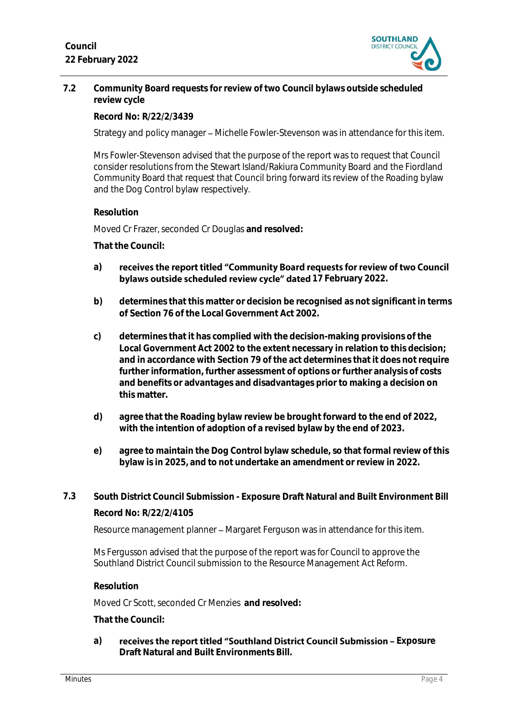

**7.2 Community Board requests for review of two Council bylaws outside scheduled review cycle**

**Record No: R/22/2/3439**

Strategy and policy manager – Michelle Fowler-Stevenson was in attendance for this item.

Mrs Fowler-Stevenson advised that the purpose of the report was to request that Council consider resolutions from the Stewart Island/Rakiura Community Board and the Fiordland Community Board that request that Council bring forward its review of the Roading bylaw and the Dog Control bylaw respectively.

#### **Resolution**

Moved Cr Frazer, seconded Cr Douglas **and resolved:**

**That the Council:**

- **a)** receives the report titled "Community Board requests for review of two Council **bylaws outside scheduled review cycle" dated** 17 February 2022.
- **b) determines that this matter or decision be recognised as not significant in terms of Section 76 of the Local Government Act 2002.**
- **c) determines that it has complied with the decision-making provisions of the Local Government Act 2002 to the extent necessary in relation to this decision; and in accordance with Section 79 of the act determines that it does not require further information, further assessment of options or further analysis of costs and benefits or advantages and disadvantages prior to making a decision on this matter.**
- **d) agree that the Roading bylaw review be brought forward to the end of 2022, with the intention of adoption of a revised bylaw by the end of 2023.**
- **e) agree to maintain the Dog Control bylaw schedule, so that formal review of this bylaw is in 2025, and to not undertake an amendment or review in 2022.**
- **7.3 South District Council Submission - Exposure Draft Natural and Built Environment Bill Record No: R/22/2/4105**

Resource management planner – Margaret Ferguson was in attendance for this item.

Ms Fergusson advised that the purpose of the report was for Council to approve the Southland District Council submission to the Resource Management Act Reform.

#### **Resolution**

Moved Cr Scott, seconded Cr Menzies **and resolved:**

**That the Council:**

a) **receives the report titled "Southland District Council Submission - Exposure Draft Natural and Built Environments Bill.**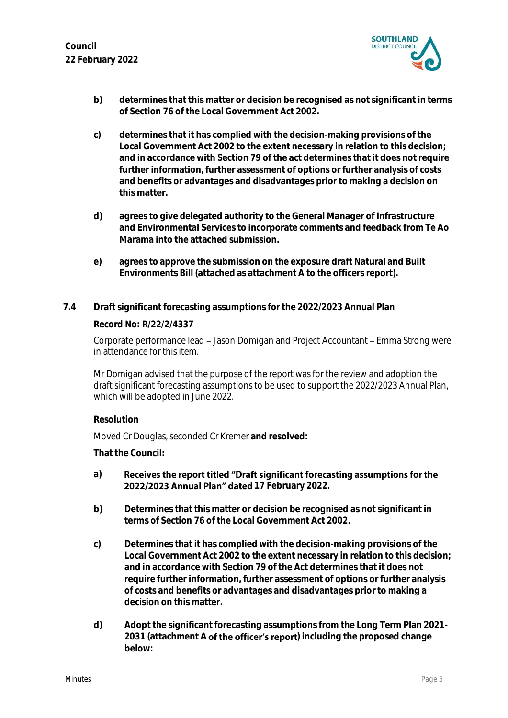

- **b) determines that this matter or decision be recognised as not significant in terms of Section 76 of the Local Government Act 2002.**
- **c) determines that it has complied with the decision-making provisions of the Local Government Act 2002 to the extent necessary in relation to this decision; and in accordance with Section 79 of the act determines that it does not require further information, further assessment of options or further analysis of costs and benefits or advantages and disadvantages prior to making a decision on this matter.**
- **d) agrees to give delegated authority to the General Manager of Infrastructure and Environmental Services to incorporate comments and feedback from Te Ao Marama into the attached submission.**
- **e) agrees to approve the submission on the exposure draft Natural and Built Environments Bill (attached as attachment A to the officers report).**
- **7.4 Draft significant forecasting assumptions for the 2022/2023 Annual Plan Record No: R/22/2/4337**

Corporate performance lead – Jason Domigan and Project Accountant – Emma Strong were in attendance for this item.

Mr Domigan advised that the purpose of the report was for the review and adoption the draft significant forecasting assumptions to be used to support the 2022/2023 Annual Plan, which will be adopted in June 2022.

#### **Resolution**

Moved Cr Douglas, seconded Cr Kremer **and resolved:**

- Receives the report titled "Draft significant forecasting assumptions for the **a)** 2022/2023 Annual Plan" dated 17 February 2022.
- **b) Determines that this matter or decision be recognised as not significant in terms of Section 76 of the Local Government Act 2002.**
- **c) Determines that it has complied with the decision-making provisions of the Local Government Act 2002 to the extent necessary in relation to this decision; and in accordance with Section 79 of the Act determines that it does not require further information, further assessment of options or further analysis of costs and benefits or advantages and disadvantages prior to making a decision on this matter.**
- **d) Adopt the significant forecasting assumptions from the Long Term Plan 2021-** 2031 (attachment A **of the officer's report**) including the proposed change **below:**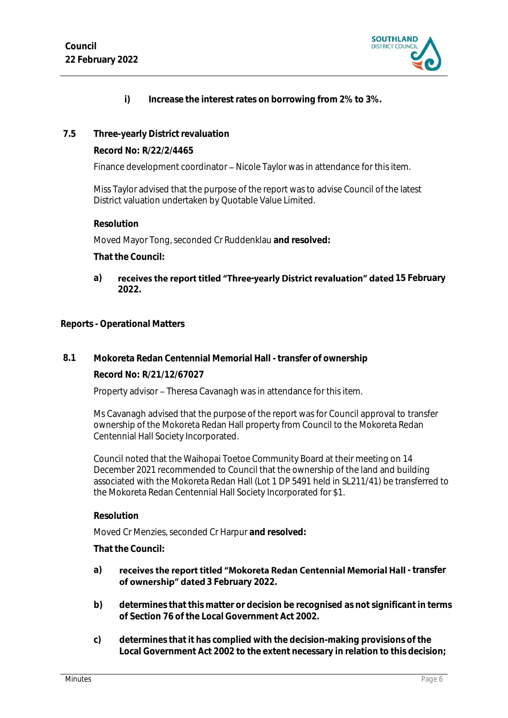

- **i) Increase the interest rates on borrowing from 2% to 3%.**
- **7.5 Three-yearly District revaluation**

**Record No: R/22/2/4465**

Finance development coordinator - Nicole Taylor was in attendance for this item.

Miss Taylor advised that the purpose of the report was to advise Council of the latest District valuation undertaken by Quotable Value Limited.

**Resolution**

Moved Mayor Tong, seconded Cr Ruddenklau **and resolved:**

**That the Council:**

a) **receives the report titled "Three-yearly District revaluation" dated 15 February 2022.**

**Reports - Operational Matters**

**8.1 Mokoreta Redan Centennial Memorial Hall - transfer of ownership**

**Record No: R/21/12/67027**

Property advisor - Theresa Cavanagh was in attendance for this item.

Ms Cavanagh advised that the purpose of the report was for Council approval to transfer ownership of the Mokoreta Redan Hall property from Council to the Mokoreta Redan Centennial Hall Society Incorporated.

Council noted that the Waihopai Toetoe Community Board at their meeting on 14 December 2021 recommended to Council that the ownership of the land and building associated with the Mokoreta Redan Hall (Lot 1 DP 5491 held in SL211/41) be transferred to the Mokoreta Redan Centennial Hall Society Incorporated for \$1.

**Resolution**

Moved Cr Menzies, seconded Cr Harpur **and resolved:**

- a) **receives the report titled "Mokoreta Redan Centennial Memorial Hall transfer** of ownership" dated 3 February 2022.
- **b) determines that this matter or decision be recognised as not significant in terms of Section 76 of the Local Government Act 2002.**
- **c) determines that it has complied with the decision-making provisions of the Local Government Act 2002 to the extent necessary in relation to this decision;**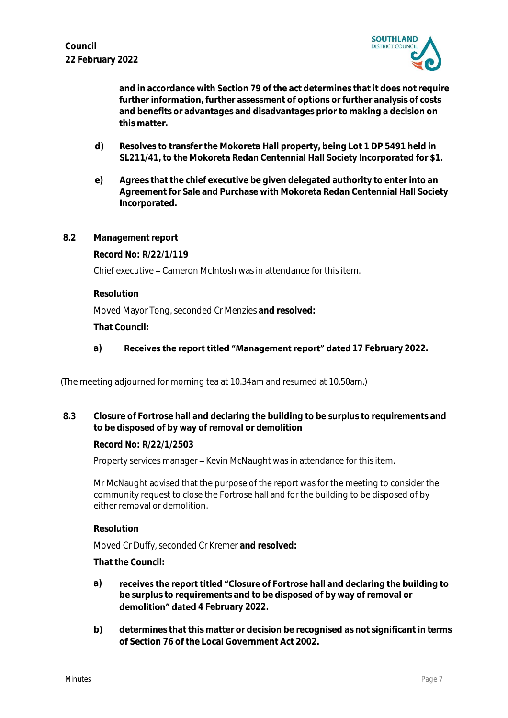

**and in accordance with Section 79 of the act determines that it does not require further information, further assessment of options or further analysis of costs and benefits or advantages and disadvantages prior to making a decision on this matter.**

- **d) Resolves to transfer the Mokoreta Hall property, being Lot 1 DP 5491 held in SL211/41, to the Mokoreta Redan Centennial Hall Society Incorporated for \$1.**
- **e) Agrees that the chief executive be given delegated authority to enter into an Agreement for Sale and Purchase with Mokoreta Redan Centennial Hall Society Incorporated.**
- **8.2 Management report**

**Record No: R/22/1/119**

Chief executive – Cameron McIntosh was in attendance for this item.

**Resolution**

Moved Mayor Tong, seconded Cr Menzies **and resolved:**

**That Council:**

a) **Receives the report titled "Management report" dated 17 February 2022.** 

(The meeting adjourned for morning tea at 10.34am and resumed at 10.50am.)

**8.3 Closure of Fortrose hall and declaring the building to be surplus to requirements and to be disposed of by way of removal or demolition**

**Record No: R/22/1/2503**

Property services manager - Kevin McNaught was in attendance for this item.

Mr McNaught advised that the purpose of the report was for the meeting to consider the community request to close the Fortrose hall and for the building to be disposed of by either removal or demolition.

**Resolution**

Moved Cr Duffy, seconded Cr Kremer **and resolved:**

- **a)** receives the report titled "Closure of Fortrose hall and declaring the building to **be surplus to requirements and to be disposed of by way of removal or**  demolition" dated 4 February 2022.
- **b) determines that this matter or decision be recognised as not significant in terms of Section 76 of the Local Government Act 2002.**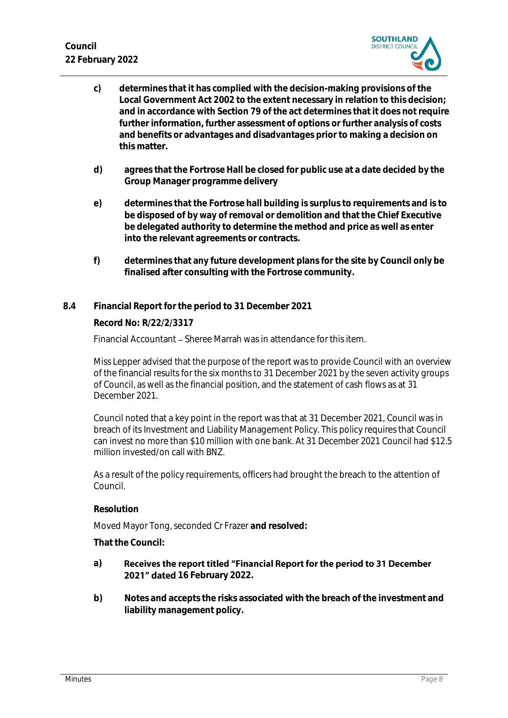**Council 22 February 2022**



- **c) determines that it has complied with the decision-making provisions of the Local Government Act 2002 to the extent necessary in relation to this decision; and in accordance with Section 79 of the act determines that it does not require further information, further assessment of options or further analysis of costs and benefits or advantages and disadvantages prior to making a decision on this matter.**
- **d) agrees that the Fortrose Hall be closed for public use at a date decided by the Group Manager programme delivery**
- **e) determines that the Fortrose hall building is surplus to requirements and is to be disposed of by way of removal or demolition and that the Chief Executive be delegated authority to determine the method and price as well as enter into the relevant agreements or contracts.**
- **f) determines that any future development plans for the site by Council only be finalised after consulting with the Fortrose community.**
- **8.4 Financial Report for the period to 31 December 2021**

**Record No: R/22/2/3317**

Financial Accountant – Sheree Marrah was in attendance for this item.

Miss Lepper advised that the purpose of the report was to provide Council with an overview of the financial results for the six months to 31 December 2021 by the seven activity groups of Council, as well as the financial position, and the statement of cash flows as at 31 December 2021.

Council noted that a key point in the report was that at 31 December 2021, Council was in breach of its Investment and Liability Management Policy. This policy requires that Council can invest no more than \$10 million with one bank. At 31 December 2021 Council had \$12.5 million invested/on call with BNZ.

As a result of the policy requirements, officers had brought the breach to the attention of Council.

**Resolution**

Moved Mayor Tong, seconded Cr Frazer **and resolved:**

- **a)** Receives the report titled "Financial Report for the period to 31 December **2021" dated** 16 February 2022.
- **b) Notes and accepts the risks associated with the breach of the investment and liability management policy.**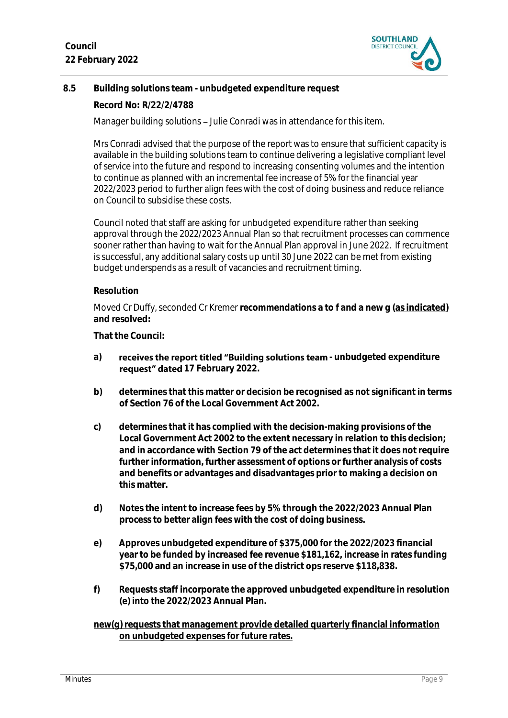

### **8.5 Building solutions team - unbudgeted expenditure request**

**Record No: R/22/2/4788**

Manager building solutions - Julie Conradi was in attendance for this item.

Mrs Conradi advised that the purpose of the report was to ensure that sufficient capacity is available in the building solutions team to continue delivering a legislative compliant level of service into the future and respond to increasing consenting volumes and the intention to continue as planned with an incremental fee increase of 5% for the financial year 2022/2023 period to further align fees with the cost of doing business and reduce reliance on Council to subsidise these costs.

Council noted that staff are asking for unbudgeted expenditure rather than seeking approval through the 2022/2023 Annual Plan so that recruitment processes can commence sooner rather than having to wait for the Annual Plan approval in June 2022. If recruitment is successful, any additional salary costs up until 30 June 2022 can be met from existing budget underspends as a result of vacancies and recruitment timing.

#### **Resolution**

Moved Cr Duffy, seconded Cr Kremer **recommendations a to f and a new g (as indicated) and resolved:**

**That the Council:**

- a) **receives the report titled "Building solutions team** unbudgeted expenditure **request"** dated 17 February 2022.
- **b) determines that this matter or decision be recognised as not significant in terms of Section 76 of the Local Government Act 2002.**
- **c) determines that it has complied with the decision-making provisions of the Local Government Act 2002 to the extent necessary in relation to this decision; and in accordance with Section 79 of the act determines that it does not require further information, further assessment of options or further analysis of costs and benefits or advantages and disadvantages prior to making a decision on this matter.**
- **d) Notes the intent to increase fees by 5% through the 2022/2023 Annual Plan process to better align fees with the cost of doing business.**
- **e) Approves unbudgeted expenditure of \$375,000 for the 2022/2023 financial year to be funded by increased fee revenue \$181,162, increase in rates funding \$75,000 and an increase in use of the district ops reserve \$118,838.**
- **f) Requests staff incorporate the approved unbudgeted expenditure in resolution (e) into the 2022/2023 Annual Plan.**

#### new(g) requests that management provide detailed quarterly financial information **on unbudgeted expenses for future rates.**